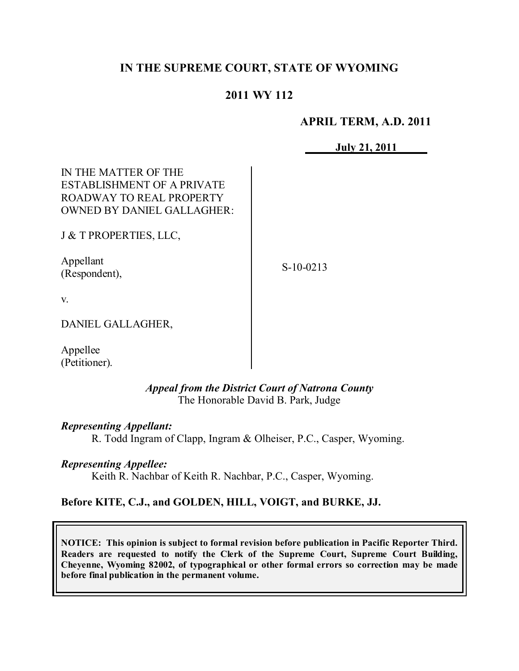# **IN THE SUPREME COURT, STATE OF WYOMING**

# **2011 WY 112**

### **APRIL TERM, A.D. 2011**

**July 21, 2011**

| IN THE MATTER OF THE              |
|-----------------------------------|
| ESTABLISHMENT OF A PRIVATE        |
| ROADWAY TO REAL PROPERTY          |
| <b>OWNED BY DANIEL GALLAGHER:</b> |
|                                   |

J & T PROPERTIES, LLC,

Appellant (Respondent),

S-10-0213

v.

DANIEL GALLAGHER,

Appellee (Petitioner).

> *Appeal from the District Court of Natrona County* The Honorable David B. Park, Judge

*Representing Appellant:*

R. Todd Ingram of Clapp, Ingram & Olheiser, P.C., Casper, Wyoming.

*Representing Appellee:*

Keith R. Nachbar of Keith R. Nachbar, P.C., Casper, Wyoming.

#### **Before KITE, C.J., and GOLDEN, HILL, VOIGT, and BURKE, JJ.**

**NOTICE: This opinion is subject to formal revision before publication in Pacific Reporter Third. Readers are requested to notify the Clerk of the Supreme Court, Supreme Court Building, Cheyenne, Wyoming 82002, of typographical or other formal errors so correction may be made before final publication in the permanent volume.**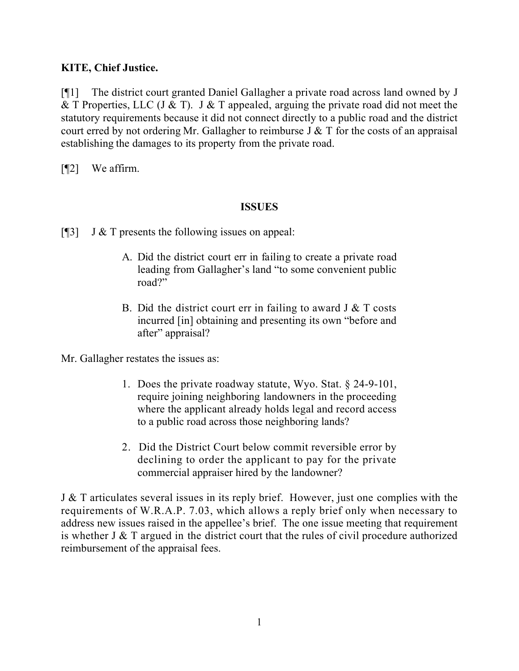# **KITE, Chief Justice.**

[¶1] The district court granted Daniel Gallagher a private road across land owned by J & T Properties, LLC (J & T). J & T appealed, arguing the private road did not meet the statutory requirements because it did not connect directly to a public road and the district court erred by not ordering Mr. Gallagher to reimburse  $J \& T$  for the costs of an appraisal establishing the damages to its property from the private road.

[¶2] We affirm.

### **ISSUES**

[ $[$ ] J & T presents the following issues on appeal:

- A. Did the district court err in failing to create a private road leading from Gallagher's land "to some convenient public road?"
- B. Did the district court err in failing to award  $J & T$  costs incurred [in] obtaining and presenting its own "before and after" appraisal?

Mr. Gallagher restates the issues as:

- 1. Does the private roadway statute, Wyo. Stat. § 24-9-101, require joining neighboring landowners in the proceeding where the applicant already holds legal and record access to a public road across those neighboring lands?
- 2. Did the District Court below commit reversible error by declining to order the applicant to pay for the private commercial appraiser hired by the landowner?

J & T articulates several issues in its reply brief. However, just one complies with the requirements of W.R.A.P. 7.03, which allows a reply brief only when necessary to address new issues raised in the appellee's brief. The one issue meeting that requirement is whether J & T argued in the district court that the rules of civil procedure authorized reimbursement of the appraisal fees.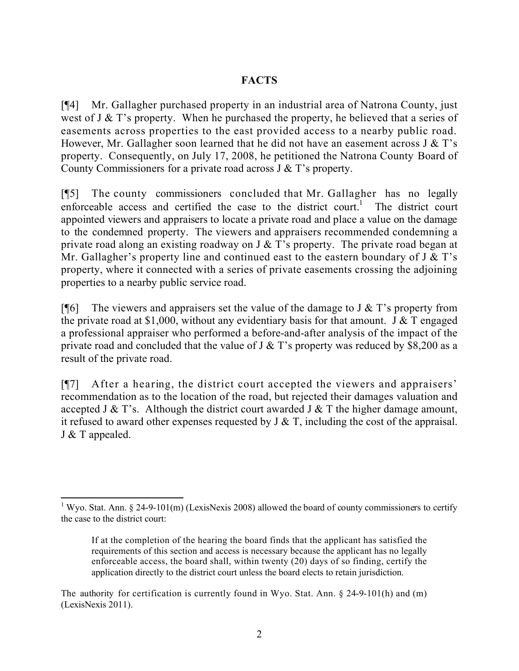# **FACTS**

[¶4] Mr. Gallagher purchased property in an industrial area of Natrona County, just west of J & T's property. When he purchased the property, he believed that a series of easements across properties to the east provided access to a nearby public road. However, Mr. Gallagher soon learned that he did not have an easement across  $J & T$ 's property. Consequently, on July 17, 2008, he petitioned the Natrona County Board of County Commissioners for a private road across J & T's property.

[¶5] The county commissioners concluded that Mr. Gallagher has no legally enforceable access and certified the case to the district court.<sup>1</sup> The district court appointed viewers and appraisers to locate a private road and place a value on the damage to the condemned property. The viewers and appraisers recommended condemning a private road along an existing roadway on J  $\&$  T's property. The private road began at Mr. Gallagher's property line and continued east to the eastern boundary of  $J \& T$ 's property, where it connected with a series of private easements crossing the adjoining properties to a nearby public service road.

[ $\llbracket \cdot \rrbracket$ ] The viewers and appraisers set the value of the damage to J & T's property from the private road at \$1,000, without any evidentiary basis for that amount. J  $\&$  T engaged a professional appraiser who performed a before-and-after analysis of the impact of the private road and concluded that the value of  $J \& T$ 's property was reduced by \$8,200 as a result of the private road.

[¶7] After a hearing, the district court accepted the viewers and appraisers' recommendation as to the location of the road, but rejected their damages valuation and accepted J  $\&$  T's. Although the district court awarded J  $\&$  T the higher damage amount, it refused to award other expenses requested by  $J \& T$ , including the cost of the appraisal. J & T appealed.

 $\overline{a}$ <sup>1</sup> Wyo. Stat. Ann. § 24-9-101(m) (LexisNexis 2008) allowed the board of county commissioners to certify the case to the district court:

If at the completion of the hearing the board finds that the applicant has satisfied the requirements of this section and access is necessary because the applicant has no legally enforceable access, the board shall, within twenty (20) days of so finding, certify the application directly to the district court unless the board elects to retain jurisdiction.

The authority for certification is currently found in Wyo. Stat. Ann.  $\S$  24-9-101(h) and (m) (LexisNexis 2011).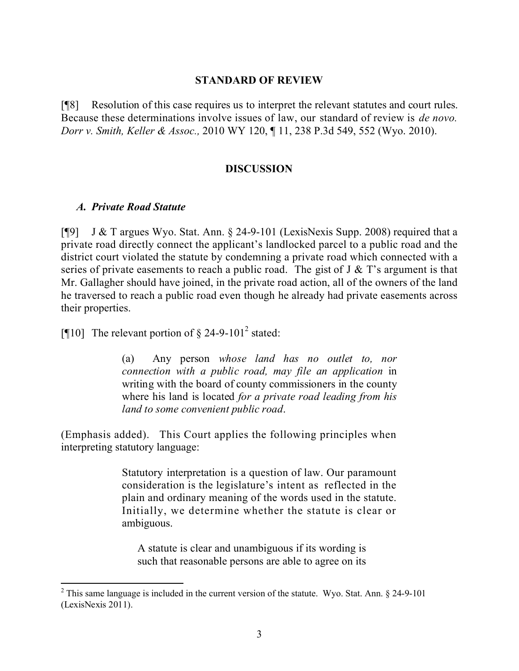#### **STANDARD OF REVIEW**

[¶8] Resolution of this case requires us to interpret the relevant statutes and court rules. Because these determinations involve issues of law, our standard of review is *de novo. Dorr v. Smith, Keller & Assoc.,* 2010 WY 120, ¶ 11, 238 P.3d 549, 552 (Wyo. 2010).

#### **DISCUSSION**

#### *A. Private Road Statute*

 $\overline{a}$ 

[¶9] J & T argues Wyo. Stat. Ann. § 24-9-101 (LexisNexis Supp. 2008) required that a private road directly connect the applicant's landlocked parcel to a public road and the district court violated the statute by condemning a private road which connected with a series of private easements to reach a public road. The gist of  $J \& T$ 's argument is that Mr. Gallagher should have joined, in the private road action, all of the owners of the land he traversed to reach a public road even though he already had private easements across their properties.

[¶10] The relevant portion of  $\S$  24-9-101<sup>2</sup> stated:

(a) Any person *whose land has no outlet to, nor connection with a public road, may file an application* in writing with the board of county commissioners in the county where his land is located *for a private road leading from his land to some convenient public road*.

(Emphasis added). This Court applies the following principles when interpreting statutory language:

> Statutory interpretation is a question of law. Our paramount consideration is the legislature's intent as reflected in the plain and ordinary meaning of the words used in the statute. Initially, we determine whether the statute is clear or ambiguous.

A statute is clear and unambiguous if its wording is such that reasonable persons are able to agree on its

 $2$  This same language is included in the current version of the statute. Wyo. Stat. Ann.  $\S$  24-9-101 (LexisNexis 2011).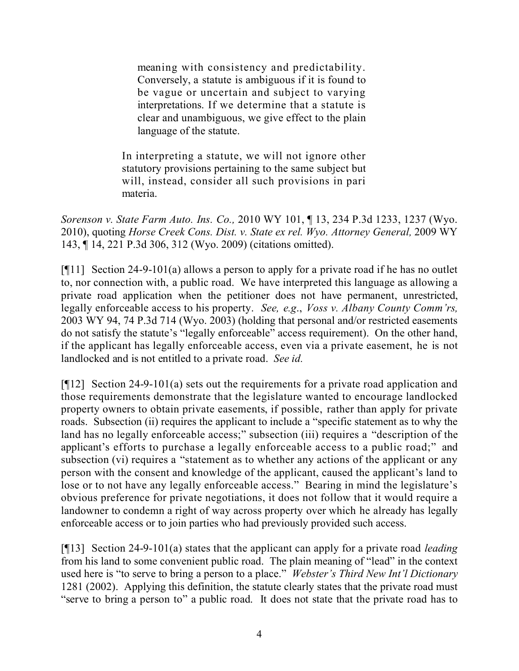meaning with consistency and predictability. Conversely, a statute is ambiguous if it is found to be vague or uncertain and subject to varying interpretations. If we determine that a statute is clear and unambiguous, we give effect to the plain language of the statute.

In interpreting a statute, we will not ignore other statutory provisions pertaining to the same subject but will, instead, consider all such provisions in pari materia.

*Sorenson v. State Farm Auto. Ins. Co.,* 2010 WY 101, ¶ 13, 234 P.3d 1233, 1237 (Wyo. 2010), quoting *Horse Creek Cons. Dist. v. State ex rel. Wyo. Attorney General,* 2009 WY 143, ¶ 14, 221 P.3d 306, 312 (Wyo. 2009) (citations omitted).

[¶11] Section 24-9-101(a) allows a person to apply for a private road if he has no outlet to, nor connection with, a public road. We have interpreted this language as allowing a private road application when the petitioner does not have permanent, unrestricted, legally enforceable access to his property. *See, e.g*., *Voss v. Albany County Comm'rs,*  2003 WY 94, 74 P.3d 714 (Wyo. 2003) (holding that personal and/or restricted easements do not satisfy the statute's "legally enforceable" access requirement). On the other hand, if the applicant has legally enforceable access, even via a private easement, he is not landlocked and is not entitled to a private road. *See id.*

[¶12] Section 24-9-101(a) sets out the requirements for a private road application and those requirements demonstrate that the legislature wanted to encourage landlocked property owners to obtain private easements, if possible, rather than apply for private roads. Subsection (ii) requires the applicant to include a "specific statement as to why the land has no legally enforceable access;" subsection (iii) requires a "description of the applicant's efforts to purchase a legally enforceable access to a public road;" and subsection (vi) requires a "statement as to whether any actions of the applicant or any person with the consent and knowledge of the applicant, caused the applicant's land to lose or to not have any legally enforceable access." Bearing in mind the legislature's obvious preference for private negotiations, it does not follow that it would require a landowner to condemn a right of way across property over which he already has legally enforceable access or to join parties who had previously provided such access.

[¶13] Section 24-9-101(a) states that the applicant can apply for a private road *leading*  from his land to some convenient public road. The plain meaning of "lead" in the context used here is "to serve to bring a person to a place." *Webster's Third New Int'l Dictionary* 1281 (2002). Applying this definition, the statute clearly states that the private road must "serve to bring a person to" a public road. It does not state that the private road has to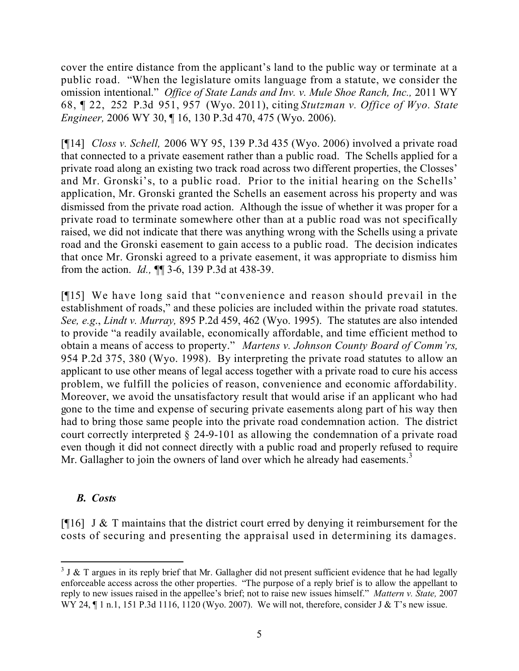cover the entire distance from the applicant's land to the public way or terminate at a public road. "When the legislature omits language from a statute, we consider the omission intentional." *Office of State Lands and Inv. v. Mule Shoe Ranch, Inc.,* 2011 WY 68, ¶ 22, 252 P.3d 951, 957 (Wyo. 2011), citing *Stutzman v. Office of Wyo. State Engineer,* 2006 WY 30, ¶ 16, 130 P.3d 470, 475 (Wyo. 2006).

[¶14] *Closs v. Schell,* 2006 WY 95, 139 P.3d 435 (Wyo. 2006) involved a private road that connected to a private easement rather than a public road. The Schells applied for a private road along an existing two track road across two different properties, the Closses' and Mr. Gronski's, to a public road. Prior to the initial hearing on the Schells' application, Mr. Gronski granted the Schells an easement across his property and was dismissed from the private road action. Although the issue of whether it was proper for a private road to terminate somewhere other than at a public road was not specifically raised, we did not indicate that there was anything wrong with the Schells using a private road and the Gronski easement to gain access to a public road. The decision indicates that once Mr. Gronski agreed to a private easement, it was appropriate to dismiss him from the action. *Id.,* ¶¶ 3-6, 139 P.3d at 438-39.

[¶15] We have long said that "convenience and reason should prevail in the establishment of roads," and these policies are included within the private road statutes. *See, e.g*., *Lindt v. Murray,* 895 P.2d 459, 462 (Wyo. 1995). The statutes are also intended to provide "a readily available, economically affordable, and time efficient method to obtain a means of access to property." *Martens v. Johnson County Board of Comm'rs,*  954 P.2d 375, 380 (Wyo. 1998). By interpreting the private road statutes to allow an applicant to use other means of legal access together with a private road to cure his access problem, we fulfill the policies of reason, convenience and economic affordability. Moreover, we avoid the unsatisfactory result that would arise if an applicant who had gone to the time and expense of securing private easements along part of his way then had to bring those same people into the private road condemnation action. The district court correctly interpreted § 24-9-101 as allowing the condemnation of a private road even though it did not connect directly with a public road and properly refused to require Mr. Gallagher to join the owners of land over which he already had easements.<sup>3</sup>

### *B. Costs*

[ $[$ [16] J & T maintains that the district court erred by denying it reimbursement for the costs of securing and presenting the appraisal used in determining its damages.

 $\overline{a}$  $3$  J & T argues in its reply brief that Mr. Gallagher did not present sufficient evidence that he had legally enforceable access across the other properties. "The purpose of a reply brief is to allow the appellant to reply to new issues raised in the appellee's brief; not to raise new issues himself." *Mattern v. State,* 2007 WY 24, ¶ 1 n.1, 151 P.3d 1116, 1120 (Wyo. 2007). We will not, therefore, consider J & T's new issue.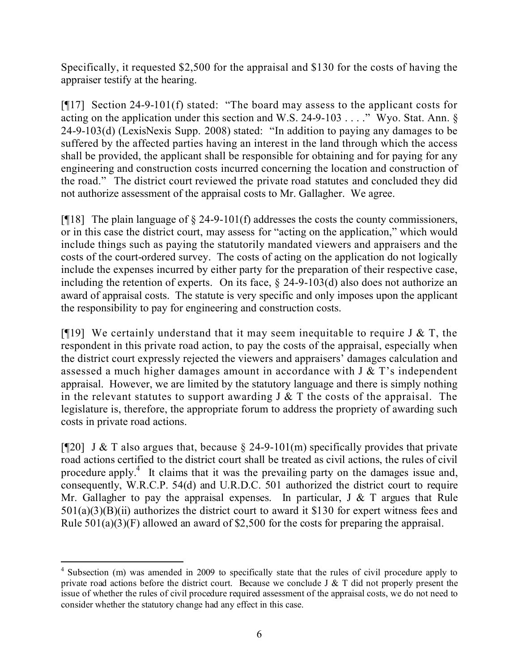Specifically, it requested \$2,500 for the appraisal and \$130 for the costs of having the appraiser testify at the hearing.

[¶17] Section 24-9-101(f) stated: "The board may assess to the applicant costs for acting on the application under this section and W.S. 24-9-103 . . . ." Wyo. Stat. Ann. § 24-9-103(d) (LexisNexis Supp. 2008) stated: "In addition to paying any damages to be suffered by the affected parties having an interest in the land through which the access shall be provided, the applicant shall be responsible for obtaining and for paying for any engineering and construction costs incurred concerning the location and construction of the road." The district court reviewed the private road statutes and concluded they did not authorize assessment of the appraisal costs to Mr. Gallagher. We agree.

[ $[$ [18] The plain language of  $\S$  24-9-101(f) addresses the costs the county commissioners, or in this case the district court, may assess for "acting on the application," which would include things such as paying the statutorily mandated viewers and appraisers and the costs of the court-ordered survey. The costs of acting on the application do not logically include the expenses incurred by either party for the preparation of their respective case, including the retention of experts. On its face, § 24-9-103(d) also does not authorize an award of appraisal costs. The statute is very specific and only imposes upon the applicant the responsibility to pay for engineering and construction costs.

[ $[$ [19] We certainly understand that it may seem inequitable to require J & T, the respondent in this private road action, to pay the costs of the appraisal, especially when the district court expressly rejected the viewers and appraisers' damages calculation and assessed a much higher damages amount in accordance with J & T's independent appraisal. However, we are limited by the statutory language and there is simply nothing in the relevant statutes to support awarding  $J \& T$  the costs of the appraisal. The legislature is, therefore, the appropriate forum to address the propriety of awarding such costs in private road actions.

[ $[$ [20] J & T also argues that, because § 24-9-101(m) specifically provides that private road actions certified to the district court shall be treated as civil actions, the rules of civil procedure apply.<sup>4</sup> It claims that it was the prevailing party on the damages issue and, consequently, W.R.C.P. 54(d) and U.R.D.C. 501 authorized the district court to require Mr. Gallagher to pay the appraisal expenses. In particular,  $J \& T$  argues that Rule 501(a)(3)(B)(ii) authorizes the district court to award it \$130 for expert witness fees and Rule  $501(a)(3)(F)$  allowed an award of \$2,500 for the costs for preparing the appraisal.

 $\overline{a}$ <sup>4</sup> Subsection (m) was amended in 2009 to specifically state that the rules of civil procedure apply to private road actions before the district court. Because we conclude J & T did not properly present the issue of whether the rules of civil procedure required assessment of the appraisal costs, we do not need to consider whether the statutory change had any effect in this case.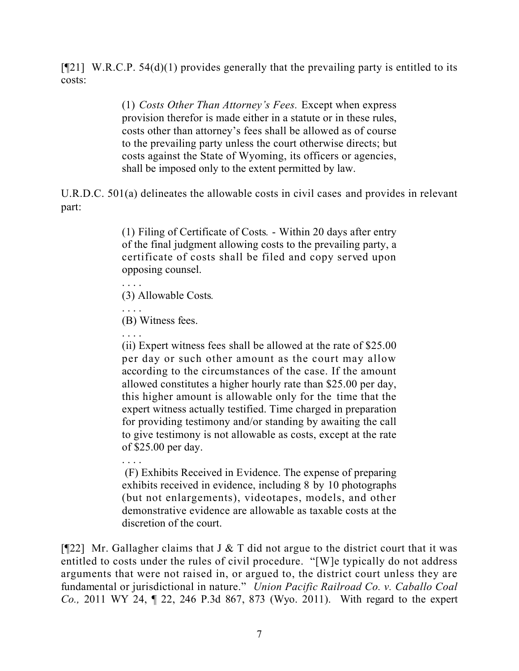$[921]$  W.R.C.P. 54(d)(1) provides generally that the prevailing party is entitled to its costs:

> (1) *Costs Other Than Attorney's Fees.* Except when express provision therefor is made either in a statute or in these rules, costs other than attorney's fees shall be allowed as of course to the prevailing party unless the court otherwise directs; but costs against the State of Wyoming, its officers or agencies, shall be imposed only to the extent permitted by law.

U.R.D.C. 501(a) delineates the allowable costs in civil cases and provides in relevant part:

> (1) Filing of Certificate of Costs*.* - Within 20 days after entry of the final judgment allowing costs to the prevailing party, a certificate of costs shall be filed and copy served upon opposing counsel.

. . . . (3) Allowable Costs*.*

(B) Witness fees.

. . . .

. . . . (ii) Expert witness fees shall be allowed at the rate of \$25.00 per day or such other amount as the court may allow according to the circumstances of the case. If the amount allowed constitutes a higher hourly rate than \$25.00 per day, this higher amount is allowable only for the time that the expert witness actually testified. Time charged in preparation for providing testimony and/or standing by awaiting the call to give testimony is not allowable as costs, except at the rate of \$25.00 per day.

. . . . (F) Exhibits Received in Evidence. The expense of preparing exhibits received in evidence, including 8 by 10 photographs (but not enlargements), videotapes, models, and other demonstrative evidence are allowable as taxable costs at the discretion of the court.

[ $[$ [22] Mr. Gallagher claims that J & T did not argue to the district court that it was entitled to costs under the rules of civil procedure. "[W]e typically do not address arguments that were not raised in, or argued to, the district court unless they are fundamental or jurisdictional in nature." *Union Pacific Railroad Co. v. Caballo Coal Co.,* 2011 WY 24, ¶ 22, 246 P.3d 867, 873 (Wyo. 2011). With regard to the expert